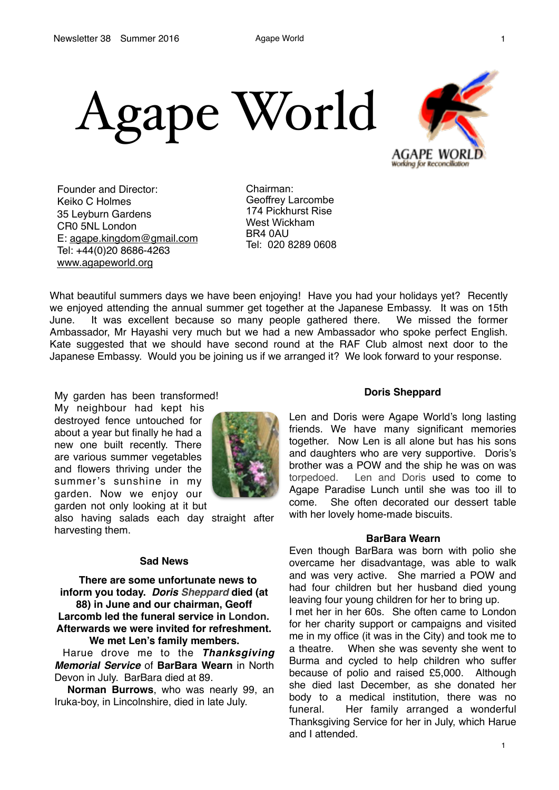

Founder and Director: Keiko C Holmes 35 Leyburn Gardens CR0 5NL London E: [agape.kingdom@gmail.com](mailto:agape.kingdom@gmail.com) Tel: +44(0)20 8686-4263 [www.agapeworld.org](http://www.agapeworld.org)

Chairman: Geoffrey Larcombe 174 Pickhurst Rise West Wickham BR4 0AU Tel: 020 8289 0608

What beautiful summers days we have been enjoying! Have you had your holidays yet? Recently we enjoyed attending the annual summer get together at the Japanese Embassy. It was on 15th June. It was excellent because so many people gathered there. We missed the former Ambassador, Mr Hayashi very much but we had a new Ambassador who spoke perfect English. Kate suggested that we should have second round at the RAF Club almost next door to the Japanese Embassy. Would you be joining us if we arranged it? We look forward to your response.

My garden has been transformed!

My neighbour had kept his destroyed fence untouched for about a year but finally he had a new one built recently. There are various summer vegetables and flowers thriving under the summer's sunshine in my garden. Now we enjoy our garden not only looking at it but



also having salads each day straight after harvesting them.

### **Sad News**

 **There are some unfortunate news to inform you today.** *Doris Sheppard* **died (at 88) in June and our chairman, Geoff Larcomb led the funeral service in London. Afterwards we were invited for refreshment. We met Len's family members.**

 Harue drove me to the *Thanksgiving Memorial Service* of **BarBara Wearn** in North Devon in July. BarBara died at 89.

 **Norman Burrows**, who was nearly 99, an Iruka-boy, in Lincolnshire, died in late July.

#### **Doris Sheppard**

Len and Doris were Agape World's long lasting friends. We have many significant memories together. Now Len is all alone but has his sons and daughters who are very supportive. Doris's brother was a POW and the ship he was on was torpedoed. Len and Doris used to come to Agape Paradise Lunch until she was too ill to come. She often decorated our dessert table with her lovely home-made biscuits.

## **BarBara Wearn**

Even though BarBara was born with polio she overcame her disadvantage, was able to walk and was very active. She married a POW and had four children but her husband died young leaving four young children for her to bring up. I met her in her 60s. She often came to London for her charity support or campaigns and visited me in my office (it was in the City) and took me to a theatre. When she was seventy she went to Burma and cycled to help children who suffer because of polio and raised £5,000. Although she died last December, as she donated her body to a medical institution, there was no funeral. Her family arranged a wonderful Thanksgiving Service for her in July, which Harue and I attended.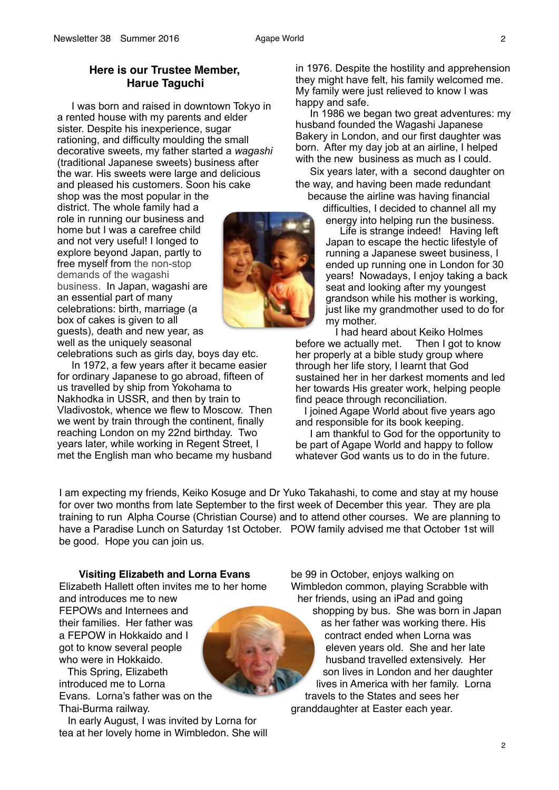# **Here is our Trustee Member, Harue Taguchi**

 I was born and raised in downtown Tokyo in a rented house with my parents and elder sister. Despite his inexperience, sugar rationing, and difficulty moulding the small decorative sweets, my father started a *wagashi* (traditional Japanese sweets) business after the war. His sweets were large and delicious and pleased his customers. Soon his cake

shop was the most popular in the district. The whole family had a role in running our business and home but I was a carefree child and not very useful! I longed to explore beyond Japan, partly to free myself from the non-stop demands of the wagashi business. In Japan, wagashi are an essential part of many celebrations: birth, marriage (a box of cakes is given to all guests), death and new year, as well as the uniquely seasonal



celebrations such as girls day, boys day etc. In 1972, a few years after it became easier for ordinary Japanese to go abroad, fifteen of us travelled by ship from Yokohama to Nakhodka in USSR, and then by train to

Vladivostok, whence we flew to Moscow. Then we went by train through the continent, finally reaching London on my 22nd birthday. Two years later, while working in Regent Street, I met the English man who became my husband

in 1976. Despite the hostility and apprehension they might have felt, his family welcomed me. My family were just relieved to know I was happy and safe.

 In 1986 we began two great adventures: my husband founded the Wagashi Japanese Bakery in London, and our first daughter was born. After my day job at an airline, I helped with the new business as much as I could.

 Six years later, with a second daughter on the way, and having been made redundant

because the airline was having financial difficulties, I decided to channel all my

energy into helping run the business. Life is strange indeed! Having left

Japan to escape the hectic lifestyle of running a Japanese sweet business, I ended up running one in London for 30 years! Nowadays, I enjoy taking a back seat and looking after my youngest grandson while his mother is working, just like my grandmother used to do for my mother.

I had heard about Keiko Holmes<br>re actually met. Then I got to know before we actually met. her properly at a bible study group where through her life story, I learnt that God sustained her in her darkest moments and led her towards His greater work, helping people find peace through reconciliation.

 I joined Agape World about five years ago and responsible for its book keeping.

 I am thankful to God for the opportunity to be part of Agape World and happy to follow whatever God wants us to do in the future.

I am expecting my friends, Keiko Kosuge and Dr Yuko Takahashi, to come and stay at my house for over two months from late September to the first week of December this year. They are pla training to run Alpha Course (Christian Course) and to attend other courses. We are planning to have a Paradise Lunch on Saturday 1st October. POW family advised me that October 1st will be good. Hope you can join us.

**Visiting Elizabeth and Lorna Evans** Elizabeth Hallett often invites me to her home

and introduces me to new

FEPOWs and Internees and their families. Her father was a FEPOW in Hokkaido and I got to know several people who were in Hokkaido.

 This Spring, Elizabeth introduced me to Lorna Evans. Lorna's father was on the Thai-Burma railway.

 In early August, I was invited by Lorna for tea at her lovely home in Wimbledon. She will be 99 in October, enjoys walking on Wimbledon common, playing Scrabble with her friends, using an iPad and going shopping by bus. She was born in Japan

as her father was working there. His contract ended when Lorna was eleven years old. She and her late husband travelled extensively. Her son lives in London and her daughter lives in America with her family. Lorna travels to the States and sees her granddaughter at Easter each year.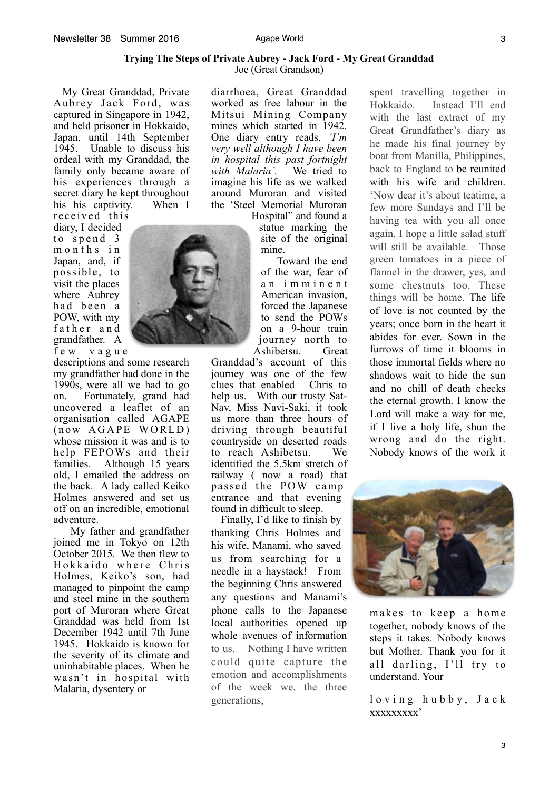#### **Trying The Steps of Private Aubrey - Jack Ford - My Great Granddad**  Joe (Great Grandson)

 My Great Granddad, Private Aubrey Jack Ford, was captured in Singapore in 1942, and held prisoner in Hokkaido, Japan, until 14th September 1945. Unable to discuss his ordeal with my Granddad, the family only became aware of his experiences through a secret diary he kept throughout his his captivity. When I received this

diary, I decided to spend 3 m on th s in Japan, and, if possible, to visit the places where Aubrey had been a POW, with my father and grandfather. A f e w v a g u e

descriptions and some research my grandfather had done in the 1990s, were all we had to go on. Fortunately, grand had uncovered a leaflet of an organisation called AGAPE  $(now A GAPE WORLD)$ whose mission it was and is to help FEPOWs and their families. Although 15 years old, I emailed the address on the back. A lady called Keiko Holmes answered and set us off on an incredible, emotional adventure.

 My father and grandfather joined me in Tokyo on 12th October 2015. We then flew to Hokkaido where Chris Holmes, Keiko's son, had managed to pinpoint the camp and steel mine in the southern port of Muroran where Great Granddad was held from 1st December 1942 until 7th June 1945. Hokkaido is known for the severity of its climate and uninhabitable places. When he wasn't in hospital with Malaria, dysentery or

diarrhoea, Great Granddad worked as free labour in the Mitsui Mining Company mines which started in 1942. One diary entry reads, *'I'm very well although I have been in hospital this past fortnight*  with Malaria'. imagine his life as we walked around Muroran and visited the 'Steel Memorial Muroran

Hospital" and found a statue marking the site of the original mine.

 Toward the end of the war, fear of a n i m m i n e n t American invasion, forced the Japanese to send the POWs on a 9-hour train journey north to Ashibetsu. Great

Granddad's account of this journey was one of the few clues that enabled help us. With our trusty Sat-Nav, Miss Navi-Saki, it took us more than three hours of driving through beautiful countryside on deserted roads to reach Ashibetsu. We identified the 5.5km stretch of railway ( now a road) that passed the POW camp entrance and that evening found in difficult to sleep.

 Finally, I'd like to finish by thanking Chris Holmes and his wife, Manami, who saved us from searching for a needle in a haystack! From the beginning Chris answered any questions and Manami's phone calls to the Japanese local authorities opened up whole avenues of information to us. Nothing I have written could quite capture the emotion and accomplishments of the week we, the three generations,

spent travelling together in Hokkaido. Instead I'll end with the last extract of my Great Grandfather's diary as he made his final journey by boat from Manilla, Philippines, back to England to be reunited with his wife and children. 'Now dear it's about teatime, a few more Sundays and I'll be having tea with you all once again. I hope a little salad stuff will still be available. Those green tomatoes in a piece of flannel in the drawer, yes, and some chestnuts too. These things will be home. The life of love is not counted by the years; once born in the heart it abides for ever. Sown in the furrows of time it blooms in those immortal fields where no shadows wait to hide the sun and no chill of death checks the eternal growth. I know the Lord will make a way for me, if I live a holy life, shun the wrong and do the right. Nobody knows of the work it



makes to keep a home together, nobody knows of the steps it takes. Nobody knows but Mother. Thank you for it all darling, I'll try to understand. Your

loving hubby, Jack xxxxxxxxx'



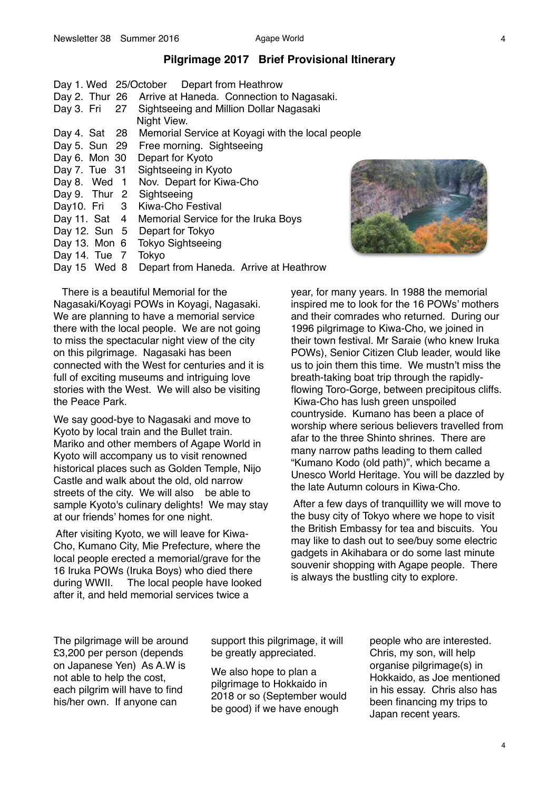# **Pilgrimage 2017 Brief Provisional Itinerary**

|                           | Day 1. Wed 25/October Depart from Heathrow               |
|---------------------------|----------------------------------------------------------|
|                           | Day 2. Thur 26 Arrive at Haneda. Connection to Nagasaki. |
|                           | Day 3. Fri 27 Sightseeing and Million Dollar Nagasaki    |
|                           | Night View.                                              |
| Day 4. Sat 28             | Memorial Service at Koyagi with the local people         |
|                           | Day 5. Sun 29 Free morning. Sightseeing                  |
| Day 6. Mon $30$           | Depart for Kyoto                                         |
|                           | Day 7. Tue 31 Sightseeing in Kyoto                       |
| Day 8. Wed 1              | Nov. Depart for Kiwa-Cho                                 |
| Day 9. Thur 2 Sightseeing |                                                          |
|                           | Day10. Fri 3 Kiwa-Cho Festival                           |
|                           | Day 11. Sat 4 Memorial Service for the Iruka Boys        |
|                           | Day 12. Sun 5 Depart for Tokyo                           |
|                           | Day 13. Mon 6 Tokyo Sightseeing                          |
| Day 14. Tue 7 Tokyo       |                                                          |
| Day 15 Wed 8              | Depart from Haneda. Arrive at Heathrow                   |



 There is a beautiful Memorial for the Nagasaki/Koyagi POWs in Koyagi, Nagasaki. We are planning to have a memorial service there with the local people. We are not going to miss the spectacular night view of the city on this pilgrimage. Nagasaki has been connected with the West for centuries and it is full of exciting museums and intriguing love stories with the West. We will also be visiting the Peace Park.

We say good-bye to Nagasaki and move to Kyoto by local train and the Bullet train. Mariko and other members of Agape World in Kyoto will accompany us to visit renowned historical places such as Golden Temple, Nijo Castle and walk about the old, old narrow streets of the city. We will also be able to sample Kyoto's culinary delights! We may stay at our friends' homes for one night.

 After visiting Kyoto, we will leave for Kiwa-Cho, Kumano City, Mie Prefecture, where the local people erected a memorial/grave for the 16 Iruka POWs (Iruka Boys) who died there during WWII. The local people have looked after it, and held memorial services twice a

year, for many years. In 1988 the memorial inspired me to look for the 16 POWs' mothers and their comrades who returned. During our 1996 pilgrimage to Kiwa-Cho, we joined in their town festival. Mr Saraie (who knew Iruka POWs), Senior Citizen Club leader, would like us to join them this time. We mustn't miss the breath-taking boat trip through the rapidlyflowing Toro-Gorge, between precipitous cliffs. Kiwa-Cho has lush green unspoiled countryside. Kumano has been a place of worship where serious believers travelled from afar to the three Shinto shrines. There are many narrow paths leading to them called "Kumano Kodo (old path)", which became a Unesco World Heritage. You will be dazzled by the late Autumn colours in Kiwa-Cho.

After a few days of tranquillity we will move to the busy city of Tokyo where we hope to visit the British Embassy for tea and biscuits. You may like to dash out to see/buy some electric gadgets in Akihabara or do some last minute souvenir shopping with Agape people. There is always the bustling city to explore.

The pilgrimage will be around £3,200 per person (depends on Japanese Yen) As A.W is not able to help the cost, each pilgrim will have to find his/her own. If anyone can

support this pilgrimage, it will be greatly appreciated.

We also hope to plan a pilgrimage to Hokkaido in 2018 or so (September would be good) if we have enough

people who are interested. Chris, my son, will help organise pilgrimage(s) in Hokkaido, as Joe mentioned in his essay. Chris also has been financing my trips to Japan recent years.